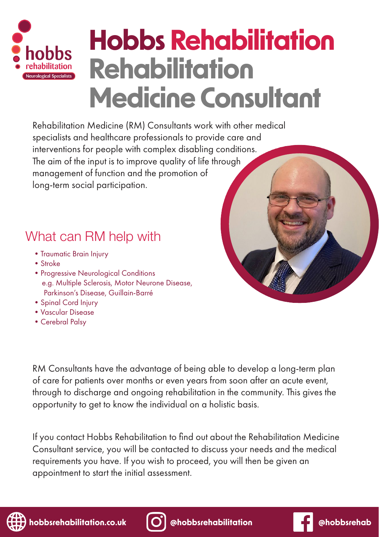

# **Hobbs Rehabilitation Rehabilitation Medicine Consultant**

Rehabilitation Medicine (RM) Consultants work with other medical specialists and healthcare professionals to provide care and interventions for people with complex disabling conditions. The aim of the input is to improve quality of life through management of function and the promotion of long-term social participation.

## What can RM help with

- •Traumatic Brain Injury
- Stroke
- Progressive Neurological Conditions e.g. Multiple Sclerosis, Motor Neurone Disease, Parkinson's Disease, Guillain-Barré
- •Spinal Cord Injury
- •Vascular Disease
- •Cerebral Palsy

RM Consultants have the advantage of being able to develop a long-term plan of care for patients over months or even years from soon after an acute event, through to discharge and ongoing rehabilitation in the community. This gives the opportunity to get to know the individual on a holistic basis.

If you contact Hobbs Rehabilitation to find out about the Rehabilitation Medicine Consultant service, you will be contacted to discuss your needs and the medical requirements you have. If you wish to proceed, you will then be given an appointment to start the initial assessment.